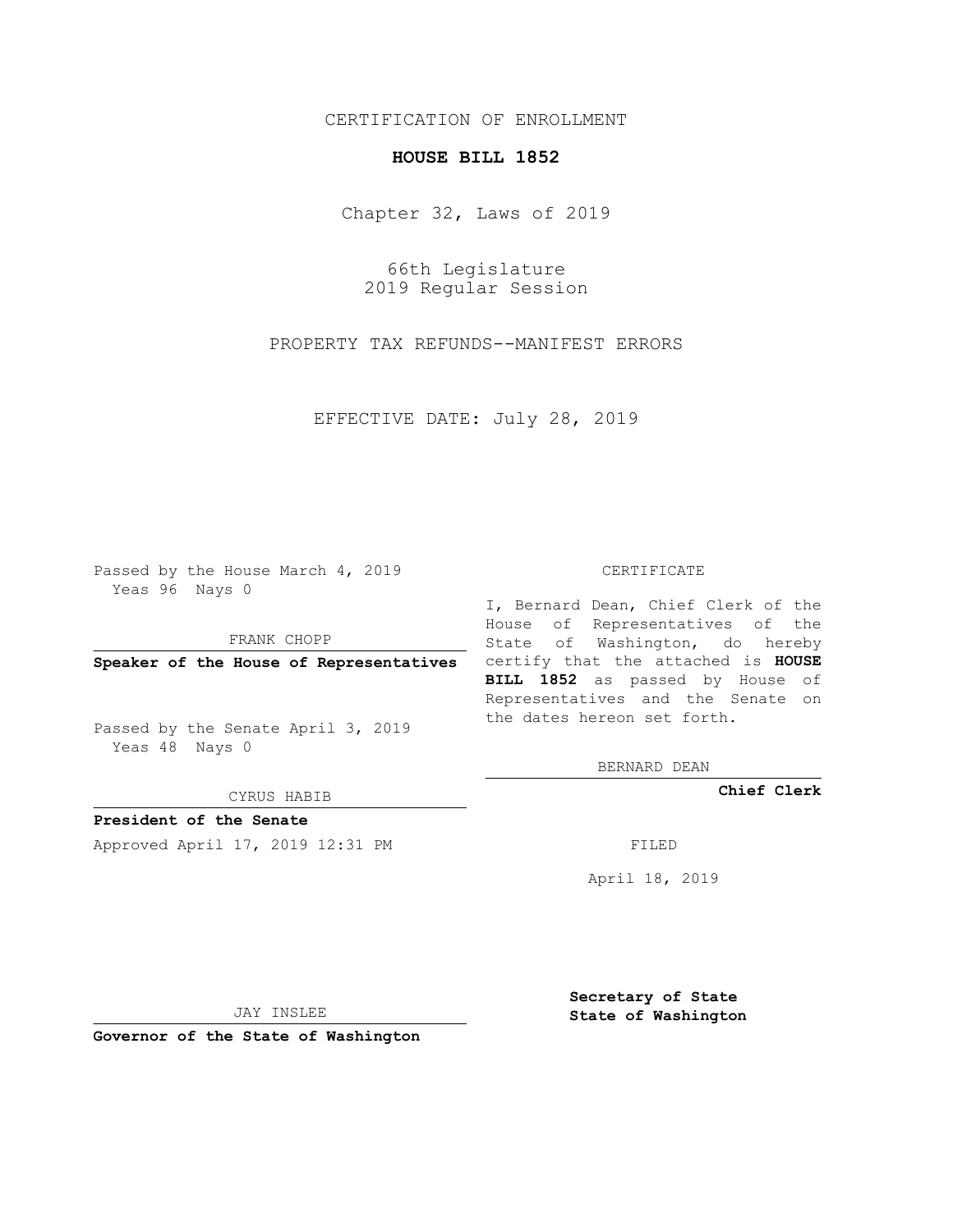## CERTIFICATION OF ENROLLMENT

## **HOUSE BILL 1852**

Chapter 32, Laws of 2019

66th Legislature 2019 Regular Session

PROPERTY TAX REFUNDS--MANIFEST ERRORS

EFFECTIVE DATE: July 28, 2019

Passed by the House March 4, 2019 Yeas 96 Nays 0

FRANK CHOPP

Passed by the Senate April 3, 2019 Yeas 48 Nays 0

CYRUS HABIB

**President of the Senate**

Approved April 17, 2019 12:31 PM FILED

## CERTIFICATE

**Speaker of the House of Representatives** certify that the attached is **HOUSE** I, Bernard Dean, Chief Clerk of the House of Representatives of the State of Washington, do hereby **BILL 1852** as passed by House of Representatives and the Senate on the dates hereon set forth.

BERNARD DEAN

**Chief Clerk**

April 18, 2019

JAY INSLEE

**Governor of the State of Washington**

**Secretary of State State of Washington**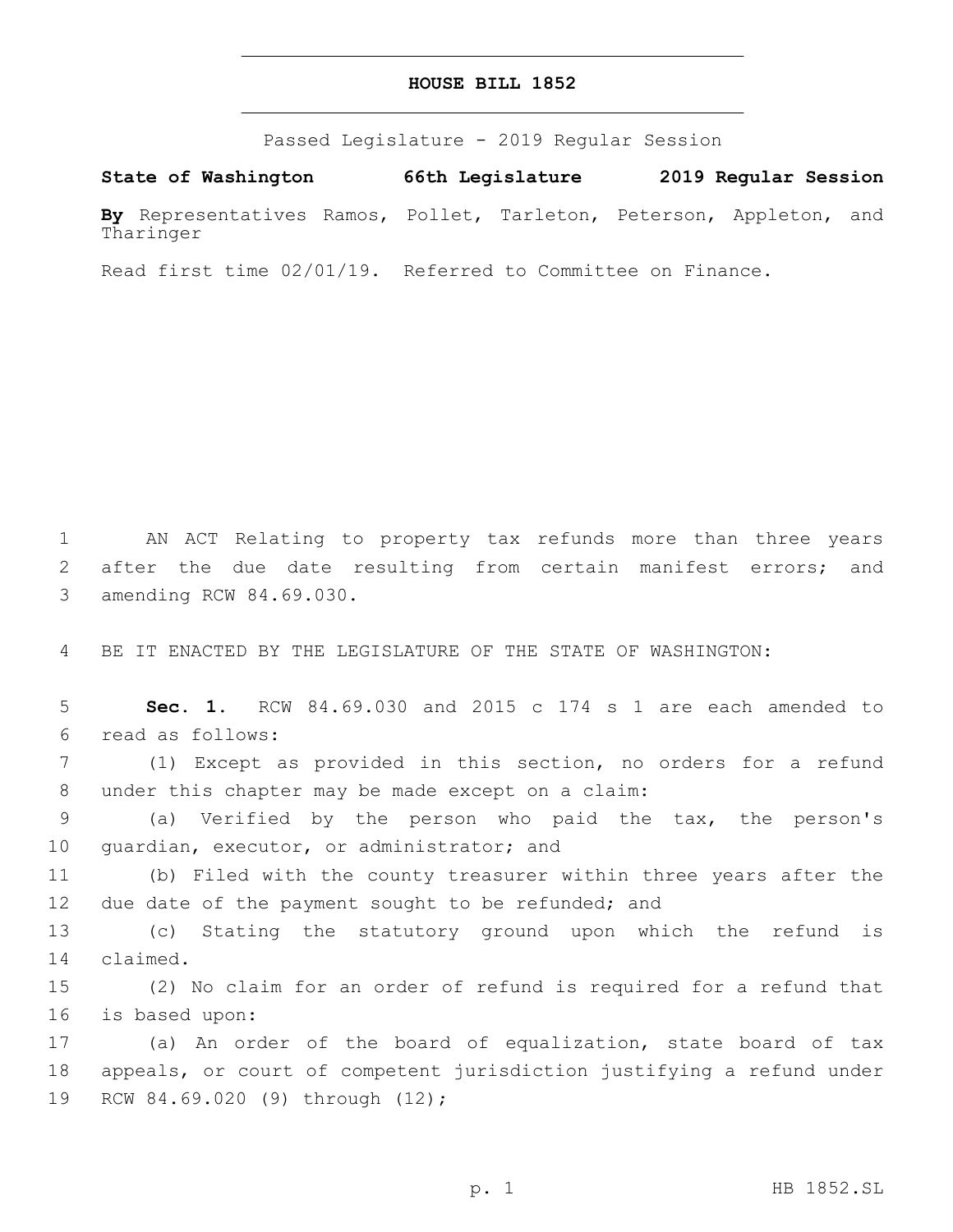## **HOUSE BILL 1852**

Passed Legislature - 2019 Regular Session

**State of Washington 66th Legislature 2019 Regular Session By** Representatives Ramos, Pollet, Tarleton, Peterson, Appleton, and Tharinger

Read first time 02/01/19. Referred to Committee on Finance.

1 AN ACT Relating to property tax refunds more than three years 2 after the due date resulting from certain manifest errors; and 3 amending RCW 84.69.030.

4 BE IT ENACTED BY THE LEGISLATURE OF THE STATE OF WASHINGTON:

5 **Sec. 1.** RCW 84.69.030 and 2015 c 174 s 1 are each amended to read as follows:6

7 (1) Except as provided in this section, no orders for a refund 8 under this chapter may be made except on a claim:

9 (a) Verified by the person who paid the tax, the person's 10 guardian, executor, or administrator; and

11 (b) Filed with the county treasurer within three years after the 12 due date of the payment sought to be refunded; and

13 (c) Stating the statutory ground upon which the refund is 14 claimed.

15 (2) No claim for an order of refund is required for a refund that 16 is based upon:

17 (a) An order of the board of equalization, state board of tax 18 appeals, or court of competent jurisdiction justifying a refund under 19 RCW 84.69.020 (9) through (12);